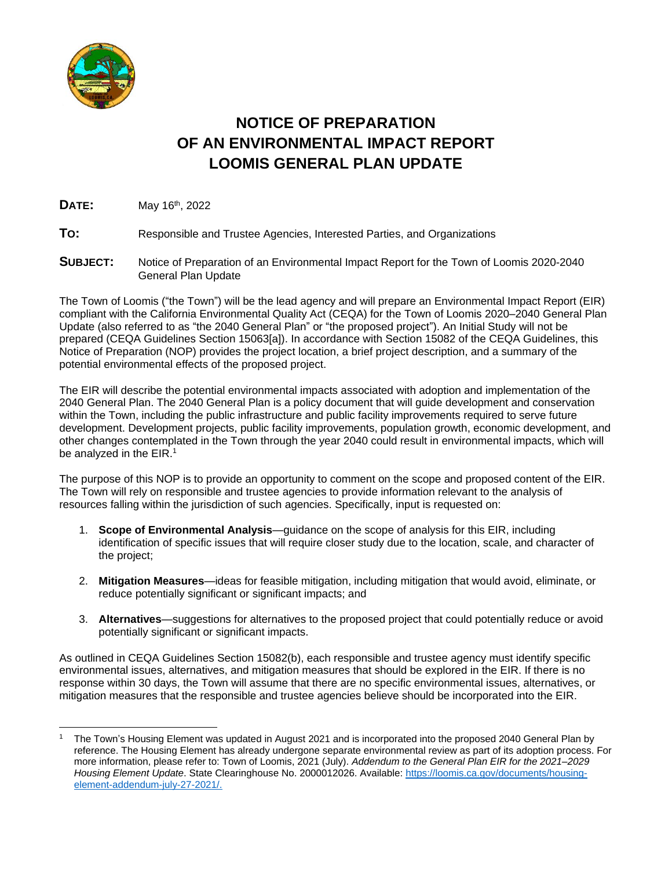

# **NOTICE OF PREPARATION OF AN ENVIRONMENTAL IMPACT REPORT LOOMIS GENERAL PLAN UPDATE**

**DATE:** May 16th , 2022

**TO:** Responsible and Trustee Agencies, Interested Parties, and Organizations

**SUBJECT:** Notice of Preparation of an Environmental Impact Report for the Town of Loomis 2020-2040 General Plan Update

The Town of Loomis ("the Town") will be the lead agency and will prepare an Environmental Impact Report (EIR) compliant with the California Environmental Quality Act (CEQA) for the Town of Loomis 2020–2040 General Plan Update (also referred to as "the 2040 General Plan" or "the proposed project"). An Initial Study will not be prepared (CEQA Guidelines Section 15063[a]). In accordance with Section 15082 of the CEQA Guidelines, this Notice of Preparation (NOP) provides the project location, a brief project description, and a summary of the potential environmental effects of the proposed project.

The EIR will describe the potential environmental impacts associated with adoption and implementation of the 2040 General Plan. The 2040 General Plan is a policy document that will guide development and conservation within the Town, including the public infrastructure and public facility improvements required to serve future development. Development projects, public facility improvements, population growth, economic development, and other changes contemplated in the Town through the year 2040 could result in environmental impacts, which will be analyzed in the EIR.<sup>1</sup>

The purpose of this NOP is to provide an opportunity to comment on the scope and proposed content of the EIR. The Town will rely on responsible and trustee agencies to provide information relevant to the analysis of resources falling within the jurisdiction of such agencies. Specifically, input is requested on:

- 1. **Scope of Environmental Analysis**—guidance on the scope of analysis for this EIR, including identification of specific issues that will require closer study due to the location, scale, and character of the project;
- 2. **Mitigation Measures**—ideas for feasible mitigation, including mitigation that would avoid, eliminate, or reduce potentially significant or significant impacts; and
- 3. **Alternatives**—suggestions for alternatives to the proposed project that could potentially reduce or avoid potentially significant or significant impacts.

As outlined in CEQA Guidelines Section 15082(b), each responsible and trustee agency must identify specific environmental issues, alternatives, and mitigation measures that should be explored in the EIR. If there is no response within 30 days, the Town will assume that there are no specific environmental issues, alternatives, or mitigation measures that the responsible and trustee agencies believe should be incorporated into the EIR.

 $\overline{\phantom{a}}$ <sup>1</sup> The Town's Housing Element was updated in August 2021 and is incorporated into the proposed 2040 General Plan by reference. The Housing Element has already undergone separate environmental review as part of its adoption process. For more information, please refer to: Town of Loomis, 2021 (July). *Addendum to the General Plan EIR for the 2021–2029 Housing Element Update*. State Clearinghouse No. 2000012026. Available[: https://loomis.ca.gov/documents/housing](https://loomis.ca.gov/documents/housing-element-addendum-july-27-2021/)[element-addendum-july-27-2021/.](https://loomis.ca.gov/documents/housing-element-addendum-july-27-2021/)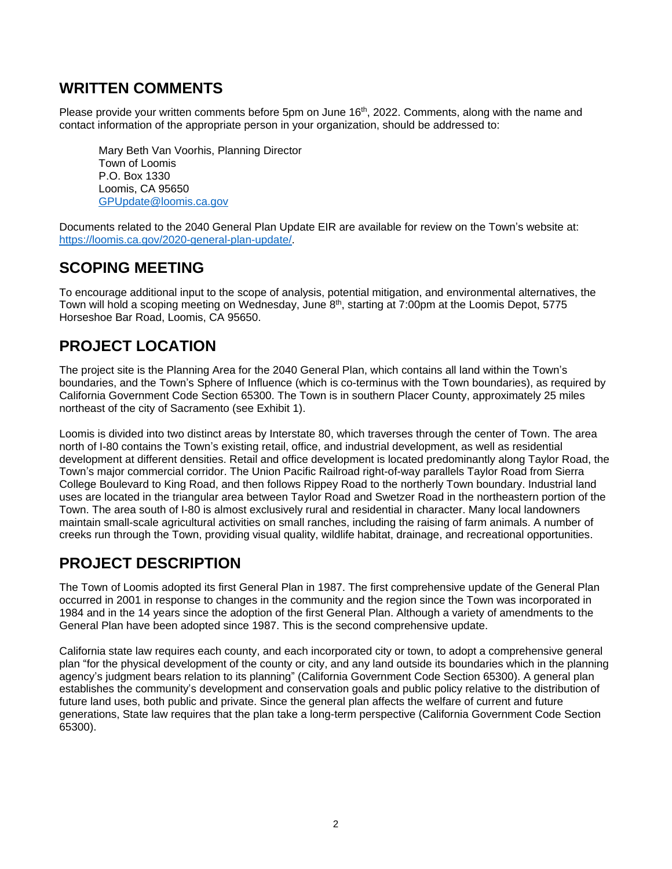## **WRITTEN COMMENTS**

Please provide your written comments before 5pm on June 16<sup>th</sup>, 2022. Comments, along with the name and contact information of the appropriate person in your organization, should be addressed to:

Mary Beth Van Voorhis, Planning Director Town of Loomis P.O. Box 1330 Loomis, CA 95650 [GPUpdate@loomis.ca.gov](mailto:mvanvoorhis@loomis.ca.gov)

Documents related to the 2040 General Plan Update EIR are available for review on the Town's website at: [https://loomis.ca.gov/2020-general-plan-update/.](https://loomis.ca.gov/2020-general-plan-update/)

### **SCOPING MEETING**

To encourage additional input to the scope of analysis, potential mitigation, and environmental alternatives, the Town will hold a scoping meeting on Wednesday, June  $8<sup>th</sup>$ , starting at 7:00pm at the Loomis Depot, 5775 Horseshoe Bar Road, Loomis, CA 95650.

# **PROJECT LOCATION**

The project site is the Planning Area for the 2040 General Plan, which contains all land within the Town's boundaries, and the Town's Sphere of Influence (which is co-terminus with the Town boundaries), as required by California Government Code Section 65300. The Town is in southern Placer County, approximately 25 miles northeast of the city of Sacramento (see [Exhibit 1\)](#page-2-0).

Loomis is divided into two distinct areas by Interstate 80, which traverses through the center of Town. The area north of I-80 contains the Town's existing retail, office, and industrial development, as well as residential development at different densities. Retail and office development is located predominantly along Taylor Road, the Town's major commercial corridor. The Union Pacific Railroad right-of-way parallels Taylor Road from Sierra College Boulevard to King Road, and then follows Rippey Road to the northerly Town boundary. Industrial land uses are located in the triangular area between Taylor Road and Swetzer Road in the northeastern portion of the Town. The area south of I-80 is almost exclusively rural and residential in character. Many local landowners maintain small-scale agricultural activities on small ranches, including the raising of farm animals. A number of creeks run through the Town, providing visual quality, wildlife habitat, drainage, and recreational opportunities.

### **PROJECT DESCRIPTION**

The Town of Loomis adopted its first General Plan in 1987. The first comprehensive update of the General Plan occurred in 2001 in response to changes in the community and the region since the Town was incorporated in 1984 and in the 14 years since the adoption of the first General Plan. Although a variety of amendments to the General Plan have been adopted since 1987. This is the second comprehensive update.

California state law requires each county, and each incorporated city or town, to adopt a comprehensive general plan "for the physical development of the county or city, and any land outside its boundaries which in the planning agency's judgment bears relation to its planning" (California Government Code Section 65300). A general plan establishes the community's development and conservation goals and public policy relative to the distribution of future land uses, both public and private. Since the general plan affects the welfare of current and future generations, State law requires that the plan take a long-term perspective (California Government Code Section 65300).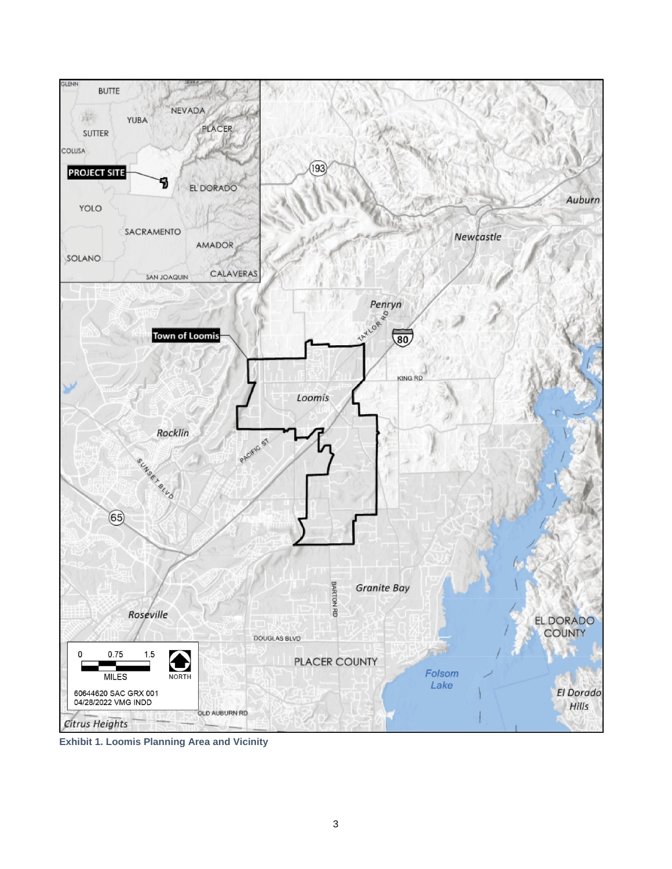

<span id="page-2-0"></span>**Exhibit 1. Loomis Planning Area and Vicinity**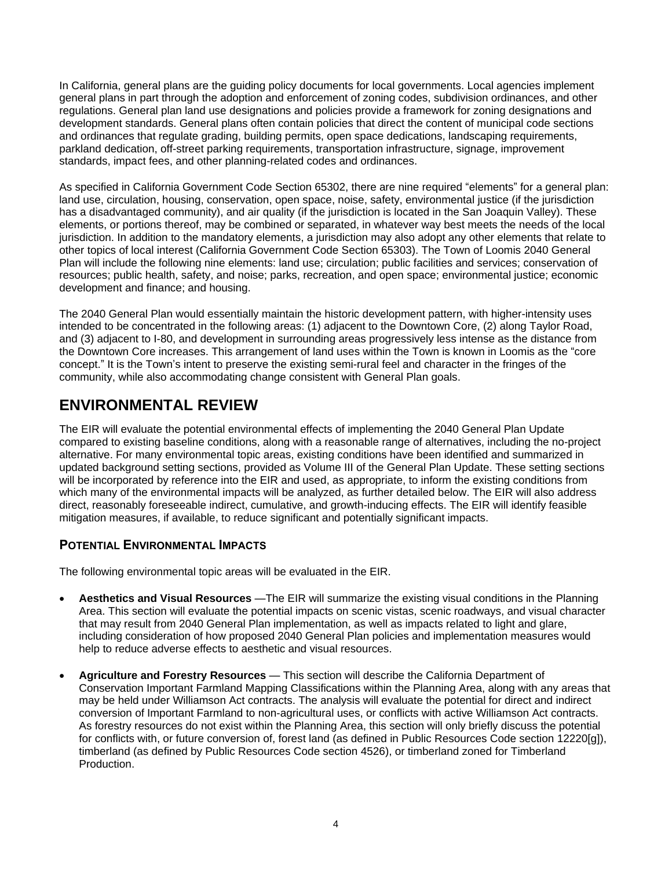In California, general plans are the guiding policy documents for local governments. Local agencies implement general plans in part through the adoption and enforcement of zoning codes, subdivision ordinances, and other regulations. General plan land use designations and policies provide a framework for zoning designations and development standards. General plans often contain policies that direct the content of municipal code sections and ordinances that regulate grading, building permits, open space dedications, landscaping requirements, parkland dedication, off-street parking requirements, transportation infrastructure, signage, improvement standards, impact fees, and other planning-related codes and ordinances.

As specified in California Government Code Section 65302, there are nine required "elements" for a general plan: land use, circulation, housing, conservation, open space, noise, safety, environmental justice (if the jurisdiction has a disadvantaged community), and air quality (if the jurisdiction is located in the San Joaquin Valley). These elements, or portions thereof, may be combined or separated, in whatever way best meets the needs of the local jurisdiction. In addition to the mandatory elements, a jurisdiction may also adopt any other elements that relate to other topics of local interest (California Government Code Section 65303). The Town of Loomis 2040 General Plan will include the following nine elements: land use; circulation; public facilities and services; conservation of resources; public health, safety, and noise; parks, recreation, and open space; environmental justice; economic development and finance; and housing.

The 2040 General Plan would essentially maintain the historic development pattern, with higher-intensity uses intended to be concentrated in the following areas: (1) adjacent to the Downtown Core, (2) along Taylor Road, and (3) adjacent to I-80, and development in surrounding areas progressively less intense as the distance from the Downtown Core increases. This arrangement of land uses within the Town is known in Loomis as the "core concept." It is the Town's intent to preserve the existing semi-rural feel and character in the fringes of the community, while also accommodating change consistent with General Plan goals.

# **ENVIRONMENTAL REVIEW**

The EIR will evaluate the potential environmental effects of implementing the 2040 General Plan Update compared to existing baseline conditions, along with a reasonable range of alternatives, including the no-project alternative. For many environmental topic areas, existing conditions have been identified and summarized in updated background setting sections, provided as Volume III of the General Plan Update. These setting sections will be incorporated by reference into the EIR and used, as appropriate, to inform the existing conditions from which many of the environmental impacts will be analyzed, as further detailed below. The EIR will also address direct, reasonably foreseeable indirect, cumulative, and growth-inducing effects. The EIR will identify feasible mitigation measures, if available, to reduce significant and potentially significant impacts.

#### **POTENTIAL ENVIRONMENTAL IMPACTS**

The following environmental topic areas will be evaluated in the EIR.

- **Aesthetics and Visual Resources** —The EIR will summarize the existing visual conditions in the Planning Area. This section will evaluate the potential impacts on scenic vistas, scenic roadways, and visual character that may result from 2040 General Plan implementation, as well as impacts related to light and glare, including consideration of how proposed 2040 General Plan policies and implementation measures would help to reduce adverse effects to aesthetic and visual resources.
- **Agriculture and Forestry Resources** This section will describe the California Department of Conservation Important Farmland Mapping Classifications within the Planning Area, along with any areas that may be held under Williamson Act contracts. The analysis will evaluate the potential for direct and indirect conversion of Important Farmland to non-agricultural uses, or conflicts with active Williamson Act contracts. As forestry resources do not exist within the Planning Area, this section will only briefly discuss the potential for conflicts with, or future conversion of, forest land (as defined in Public Resources Code section 12220[g]), timberland (as defined by Public Resources Code section 4526), or timberland zoned for Timberland Production.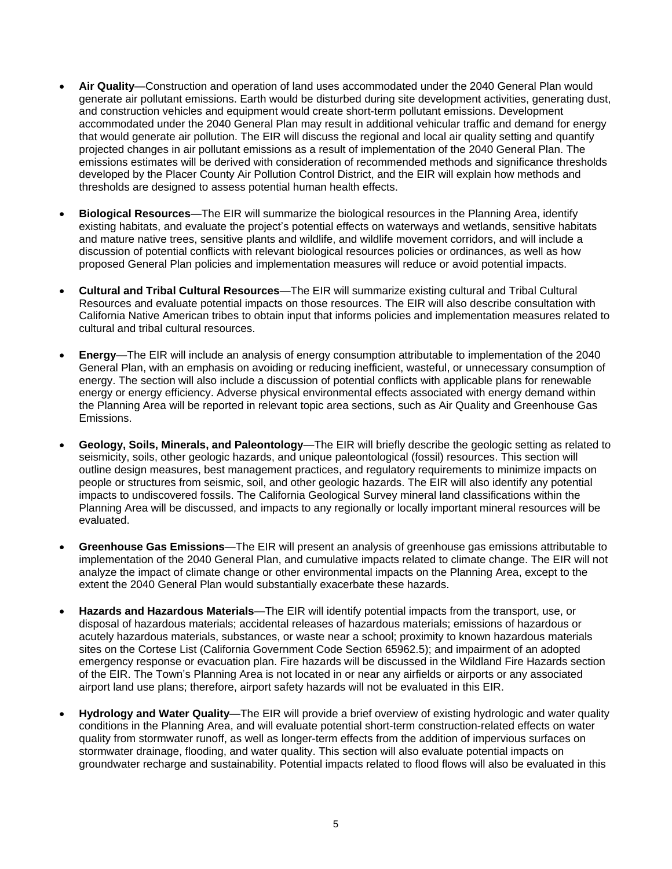- **Air Quality**—Construction and operation of land uses accommodated under the 2040 General Plan would generate air pollutant emissions. Earth would be disturbed during site development activities, generating dust, and construction vehicles and equipment would create short-term pollutant emissions. Development accommodated under the 2040 General Plan may result in additional vehicular traffic and demand for energy that would generate air pollution. The EIR will discuss the regional and local air quality setting and quantify projected changes in air pollutant emissions as a result of implementation of the 2040 General Plan. The emissions estimates will be derived with consideration of recommended methods and significance thresholds developed by the Placer County Air Pollution Control District, and the EIR will explain how methods and thresholds are designed to assess potential human health effects.
- **Biological Resources**—The EIR will summarize the biological resources in the Planning Area, identify existing habitats, and evaluate the project's potential effects on waterways and wetlands, sensitive habitats and mature native trees, sensitive plants and wildlife, and wildlife movement corridors, and will include a discussion of potential conflicts with relevant biological resources policies or ordinances, as well as how proposed General Plan policies and implementation measures will reduce or avoid potential impacts.
- **Cultural and Tribal Cultural Resources**—The EIR will summarize existing cultural and Tribal Cultural Resources and evaluate potential impacts on those resources. The EIR will also describe consultation with California Native American tribes to obtain input that informs policies and implementation measures related to cultural and tribal cultural resources.
- **Energy**—The EIR will include an analysis of energy consumption attributable to implementation of the 2040 General Plan, with an emphasis on avoiding or reducing inefficient, wasteful, or unnecessary consumption of energy. The section will also include a discussion of potential conflicts with applicable plans for renewable energy or energy efficiency. Adverse physical environmental effects associated with energy demand within the Planning Area will be reported in relevant topic area sections, such as Air Quality and Greenhouse Gas Emissions.
- **Geology, Soils, Minerals, and Paleontology**—The EIR will briefly describe the geologic setting as related to seismicity, soils, other geologic hazards, and unique paleontological (fossil) resources. This section will outline design measures, best management practices, and regulatory requirements to minimize impacts on people or structures from seismic, soil, and other geologic hazards. The EIR will also identify any potential impacts to undiscovered fossils. The California Geological Survey mineral land classifications within the Planning Area will be discussed, and impacts to any regionally or locally important mineral resources will be evaluated.
- **Greenhouse Gas Emissions**—The EIR will present an analysis of greenhouse gas emissions attributable to implementation of the 2040 General Plan, and cumulative impacts related to climate change. The EIR will not analyze the impact of climate change or other environmental impacts on the Planning Area, except to the extent the 2040 General Plan would substantially exacerbate these hazards.
- **Hazards and Hazardous Materials**—The EIR will identify potential impacts from the transport, use, or disposal of hazardous materials; accidental releases of hazardous materials; emissions of hazardous or acutely hazardous materials, substances, or waste near a school; proximity to known hazardous materials sites on the Cortese List (California Government Code Section 65962.5); and impairment of an adopted emergency response or evacuation plan. Fire hazards will be discussed in the Wildland Fire Hazards section of the EIR. The Town's Planning Area is not located in or near any airfields or airports or any associated airport land use plans; therefore, airport safety hazards will not be evaluated in this EIR.
- **Hydrology and Water Quality**—The EIR will provide a brief overview of existing hydrologic and water quality conditions in the Planning Area, and will evaluate potential short-term construction-related effects on water quality from stormwater runoff, as well as longer-term effects from the addition of impervious surfaces on stormwater drainage, flooding, and water quality. This section will also evaluate potential impacts on groundwater recharge and sustainability. Potential impacts related to flood flows will also be evaluated in this